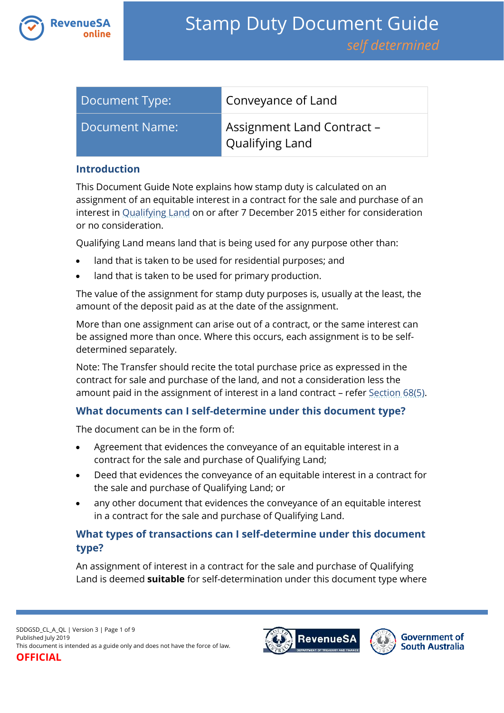

| Document Type: | Conveyance of Land                                          |
|----------------|-------------------------------------------------------------|
| Document Name: | <b>Assignment Land Contract -</b><br><b>Qualifying Land</b> |

#### **Introduction**

This Document Guide Note explains how stamp duty is calculated on an assignment of an equitable interest in a contract for the sale and purchase of an interest in [Qualifying Land](https://www.revenuesa.sa.gov.au/stampduty/stamp-duty-document-guide#Qualifying) on or after 7 December 2015 either for consideration or no consideration.

Qualifying Land means land that is being used for any purpose other than:

- land that is taken to be used for residential purposes; and
- land that is taken to be used for primary production.

The value of the assignment for stamp duty purposes is, usually at the least, the amount of the deposit paid as at the date of the assignment.

More than one assignment can arise out of a contract, or the same interest can be assigned more than once. Where this occurs, each assignment is to be selfdetermined separately.

Note: The Transfer should recite the total purchase price as expressed in the contract for sale and purchase of the land, and not a consideration less the amount paid in the assignment of interest in a land contract - refer [Section 68\(5\).](https://www.legislation.sa.gov.au/lz?path=%2FC%2FA%2FSTAMP%20DUTIES%20ACT%201923)

# **What documents can I self-determine under this document type?**

The document can be in the form of:

- Agreement that evidences the conveyance of an equitable interest in a contract for the sale and purchase of Qualifying Land;
- Deed that evidences the conveyance of an equitable interest in a contract for the sale and purchase of Qualifying Land; or
- any other document that evidences the conveyance of an equitable interest in a contract for the sale and purchase of Qualifying Land.

# **What types of transactions can I self-determine under this document type?**

An assignment of interest in a contract for the sale and purchase of Qualifying Land is deemed **suitable** for self-determination under this document type where

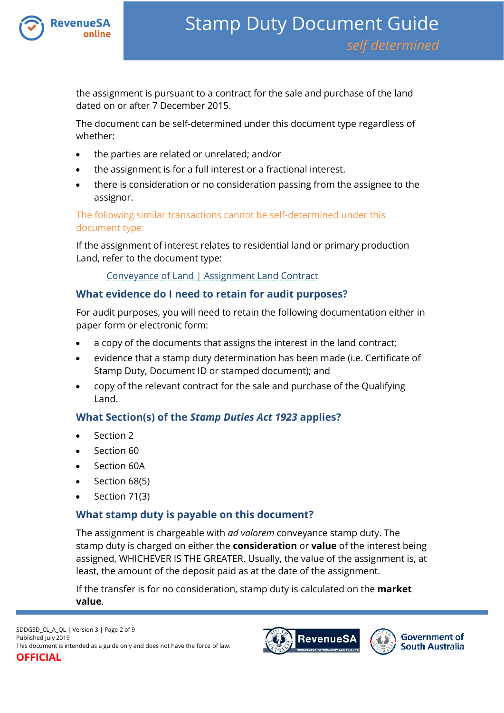

the assignment is pursuant to a contract for the sale and purchase of the land dated on or after 7 December 2015.

The document can be self-determined under this document type regardless of whether:

- the parties are related or unrelated; and/or
- the assignment is for a full interest or a fractional interest.
- there is consideration or no consideration passing from the assignee to the assignor.

The following similar transactions cannot be self-determined under this document type:

If the assignment of interest relates to residential land or primary production Land, refer to the document type:

### [Conveyance of Land | Assignment Land Contract](https://www.revenuesa.sa.gov.au/stampduty/stamp-duty-document-guide/self-determined/conveyance-of-land/sddgsd_cl_a_rpp)

# **What evidence do I need to retain for audit purposes?**

For audit purposes, you will need to retain the following documentation either in paper form or electronic form:

- a copy of the documents that assigns the interest in the land contract;
- evidence that a stamp duty determination has been made (i.e. Certificate of Stamp Duty, Document ID or stamped document); and
- copy of the relevant contract for the sale and purchase of the Qualifying Land.

# **What Section(s) of the** *Stamp Duties Act 1923* **applies?**

- Section 2
- Section 60
- Section 60A
- $\bullet$  Section 68(5)
- Section 71(3)

# **What stamp duty is payable on this document?**

The assignment is chargeable with *ad valorem* conveyance stamp duty. The stamp duty is charged on either the **consideration** or **value** of the interest being assigned, WHICHEVER IS THE GREATER. Usually, the value of the assignment is, at least, the amount of the deposit paid as at the date of the assignment.

If the transfer is for no consideration, stamp duty is calculated on the **market value**.

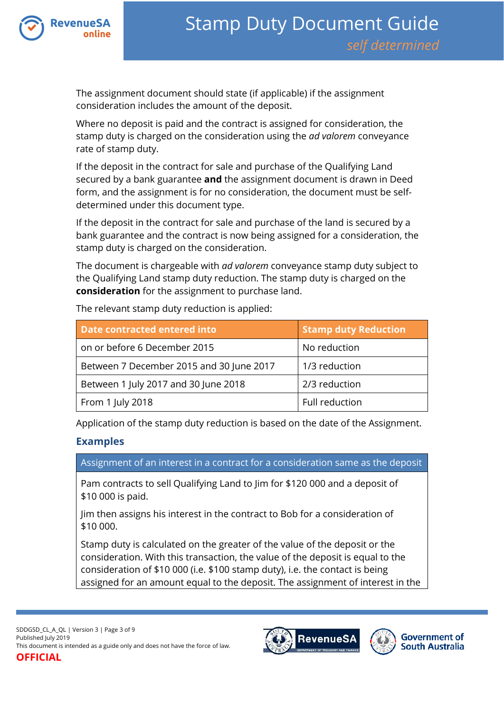

The assignment document should state (if applicable) if the assignment consideration includes the amount of the deposit.

Where no deposit is paid and the contract is assigned for consideration, the stamp duty is charged on the consideration using the *ad valorem* conveyance rate of stamp duty.

If the deposit in the contract for sale and purchase of the Qualifying Land secured by a bank guarantee **and** the assignment document is drawn in Deed form, and the assignment is for no consideration, the document must be selfdetermined under this document type.

If the deposit in the contract for sale and purchase of the land is secured by a bank guarantee and the contract is now being assigned for a consideration, the stamp duty is charged on the consideration.

The document is chargeable with *ad valorem* conveyance stamp duty subject to the Qualifying Land stamp duty reduction. The stamp duty is charged on the **consideration** for the assignment to purchase land.

| Date contracted entered into             | <b>Stamp duty Reduction</b> |
|------------------------------------------|-----------------------------|
| on or before 6 December 2015             | No reduction                |
| Between 7 December 2015 and 30 June 2017 | 1/3 reduction               |
| Between 1 July 2017 and 30 June 2018     | 2/3 reduction               |
| From 1 July 2018                         | Full reduction              |

The relevant stamp duty reduction is applied:

Application of the stamp duty reduction is based on the date of the Assignment.

# **Examples**

Assignment of an interest in a contract for a consideration same as the deposit

Pam contracts to sell Qualifying Land to Jim for \$120 000 and a deposit of \$10 000 is paid.

Jim then assigns his interest in the contract to Bob for a consideration of \$10 000.

Stamp duty is calculated on the greater of the value of the deposit or the consideration. With this transaction, the value of the deposit is equal to the consideration of \$10 000 (i.e. \$100 stamp duty), i.e. the contact is being assigned for an amount equal to the deposit. The assignment of interest in the



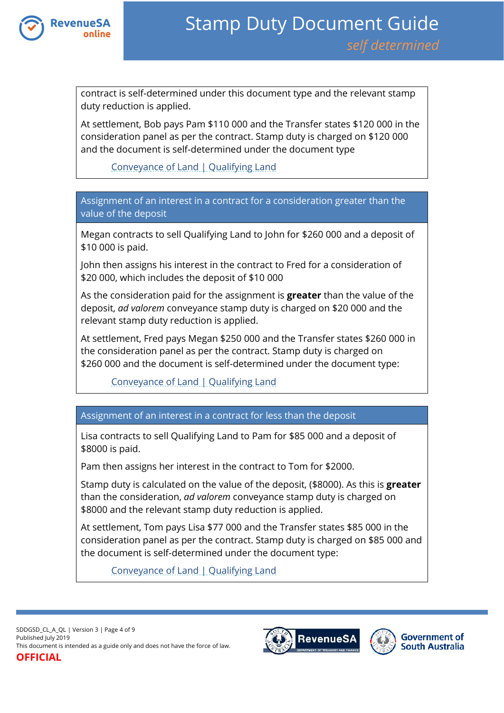

contract is self-determined under this document type and the relevant stamp duty reduction is applied.

At settlement, Bob pays Pam \$110 000 and the Transfer states \$120 000 in the consideration panel as per the contract. Stamp duty is charged on \$120 000 and the document is self-determined under the document type

[Conveyance of Land | Qualifying Land](https://www.revenuesa.sa.gov.au/stampduty/stamp-duty-document-guide/self-determined/conveyance-of-land/sddgsd_cl_ql)

Assignment of an interest in a contract for a consideration greater than the value of the deposit

Megan contracts to sell Qualifying Land to John for \$260 000 and a deposit of \$10 000 is paid.

John then assigns his interest in the contract to Fred for a consideration of \$20 000, which includes the deposit of \$10 000

As the consideration paid for the assignment is **greater** than the value of the deposit, *ad valorem* conveyance stamp duty is charged on \$20 000 and the relevant stamp duty reduction is applied.

At settlement, Fred pays Megan \$250 000 and the Transfer states \$260 000 in the consideration panel as per the contract. Stamp duty is charged on \$260 000 and the document is self-determined under the document type:

[Conveyance of Land | Qualifying Land](https://www.revenuesa.sa.gov.au/stampduty/stamp-duty-document-guide/self-determined/conveyance-of-land/sddgsd_cl_ql)

# Assignment of an interest in a contract for less than the deposit

Lisa contracts to sell Qualifying Land to Pam for \$85 000 and a deposit of \$8000 is paid.

Pam then assigns her interest in the contract to Tom for \$2000.

Stamp duty is calculated on the value of the deposit, (\$8000). As this is **greater** than the consideration, *ad valorem* conveyance stamp duty is charged on \$8000 and the relevant stamp duty reduction is applied.

At settlement, Tom pays Lisa \$77 000 and the Transfer states \$85 000 in the consideration panel as per the contract. Stamp duty is charged on \$85 000 and the document is self-determined under the document type:

[Conveyance of Land | Qualifying Land](https://www.revenuesa.sa.gov.au/stampduty/stamp-duty-document-guide/self-determined/conveyance-of-land/sddgsd_cl_ql)



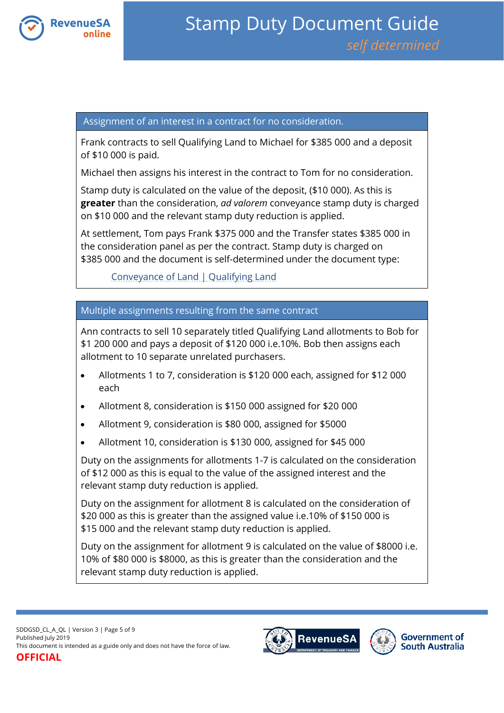

#### Assignment of an interest in a contract for no consideration.

Frank contracts to sell Qualifying Land to Michael for \$385 000 and a deposit of \$10 000 is paid.

Michael then assigns his interest in the contract to Tom for no consideration.

Stamp duty is calculated on the value of the deposit, (\$10 000). As this is **greater** than the consideration, *ad valorem* conveyance stamp duty is charged on \$10 000 and the relevant stamp duty reduction is applied.

At settlement, Tom pays Frank \$375 000 and the Transfer states \$385 000 in the consideration panel as per the contract. Stamp duty is charged on \$385 000 and the document is self-determined under the document type:

[Conveyance of Land | Qualifying Land](https://www.revenuesa.sa.gov.au/stampduty/stamp-duty-document-guide/self-determined/conveyance-of-land/sddgsd_cl_ql)

# Multiple assignments resulting from the same contract

Ann contracts to sell 10 separately titled Qualifying Land allotments to Bob for \$1 200 000 and pays a deposit of \$120 000 i.e.10%. Bob then assigns each allotment to 10 separate unrelated purchasers.

- Allotments 1 to 7, consideration is \$120 000 each, assigned for \$12 000 each
- Allotment 8, consideration is \$150 000 assigned for \$20 000
- Allotment 9, consideration is \$80 000, assigned for \$5000
- Allotment 10, consideration is \$130 000, assigned for \$45 000

Duty on the assignments for allotments 1-7 is calculated on the consideration of \$12 000 as this is equal to the value of the assigned interest and the relevant stamp duty reduction is applied.

Duty on the assignment for allotment 8 is calculated on the consideration of \$20 000 as this is greater than the assigned value i.e.10% of \$150 000 is \$15 000 and the relevant stamp duty reduction is applied.

Duty on the assignment for allotment 9 is calculated on the value of \$8000 i.e. 10% of \$80 000 is \$8000, as this is greater than the consideration and the relevant stamp duty reduction is applied.



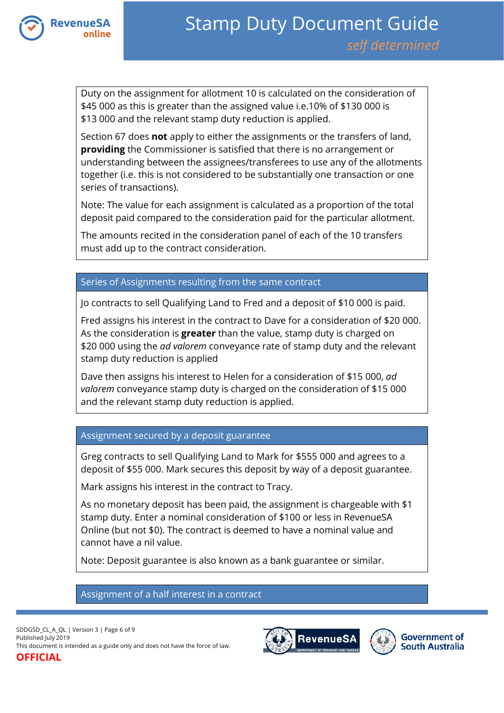

Duty on the assignment for allotment 10 is calculated on the consideration of \$45 000 as this is greater than the assigned value i.e.10% of \$130 000 is \$13 000 and the relevant stamp duty reduction is applied.

Section 67 does **not** apply to either the assignments or the transfers of land, **providing** the Commissioner is satisfied that there is no arrangement or understanding between the assignees/transferees to use any of the allotments together (i.e. this is not considered to be substantially one transaction or one series of transactions).

Note: The value for each assignment is calculated as a proportion of the total deposit paid compared to the consideration paid for the particular allotment.

The amounts recited in the consideration panel of each of the 10 transfers must add up to the contract consideration.

### Series of Assignments resulting from the same contract

Jo contracts to sell Qualifying Land to Fred and a deposit of \$10 000 is paid.

Fred assigns his interest in the contract to Dave for a consideration of \$20 000. As the consideration is **greater** than the value, stamp duty is charged on \$20 000 using the *ad valorem* conveyance rate of stamp duty and the relevant stamp duty reduction is applied

Dave then assigns his interest to Helen for a consideration of \$15 000, *ad valorem* conveyance stamp duty is charged on the consideration of \$15 000 and the relevant stamp duty reduction is applied.

#### Assignment secured by a deposit guarantee

Greg contracts to sell Qualifying Land to Mark for \$555 000 and agrees to a deposit of \$55 000. Mark secures this deposit by way of a deposit guarantee.

Mark assigns his interest in the contract to Tracy.

As no monetary deposit has been paid, the assignment is chargeable with \$1 stamp duty. Enter a nominal consideration of \$100 or less in RevenueSA Online (but not \$0). The contract is deemed to have a nominal value and cannot have a nil value.

Note: Deposit guarantee is also known as a bank guarantee or similar.

#### Assignment of a half interest in a contract

SDDGSD\_CL\_A\_QL | Version 3 | Page 6 of 9 Published July 2019 This document is intended as a guide only and does not have the force of law. **OFFICIAL**



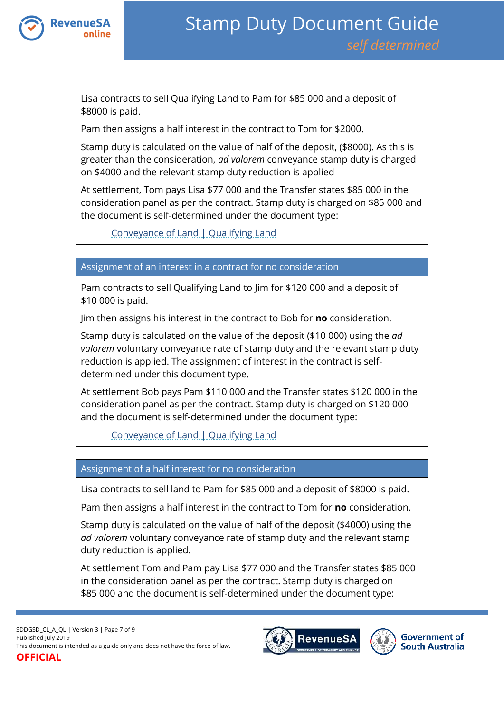

Lisa contracts to sell Qualifying Land to Pam for \$85 000 and a deposit of \$8000 is paid.

Pam then assigns a half interest in the contract to Tom for \$2000.

Stamp duty is calculated on the value of half of the deposit, (\$8000). As this is greater than the consideration, *ad valorem* conveyance stamp duty is charged on \$4000 and the relevant stamp duty reduction is applied

At settlement, Tom pays Lisa \$77 000 and the Transfer states \$85 000 in the consideration panel as per the contract. Stamp duty is charged on \$85 000 and the document is self-determined under the document type:

[Conveyance of Land | Qualifying Land](https://www.revenuesa.sa.gov.au/stampduty/stamp-duty-document-guide/self-determined/conveyance-of-land/sddgsd_cl_ql)

#### Assignment of an interest in a contract for no consideration

Pam contracts to sell Qualifying Land to Jim for \$120 000 and a deposit of \$10 000 is paid.

Jim then assigns his interest in the contract to Bob for **no** consideration.

Stamp duty is calculated on the value of the deposit (\$10 000) using the *ad valorem* voluntary conveyance rate of stamp duty and the relevant stamp duty reduction is applied. The assignment of interest in the contract is selfdetermined under this document type.

At settlement Bob pays Pam \$110 000 and the Transfer states \$120 000 in the consideration panel as per the contract. Stamp duty is charged on \$120 000 and the document is self-determined under the document type:

[Conveyance of Land | Qualifying Land](https://www.revenuesa.sa.gov.au/stampduty/stamp-duty-document-guide/self-determined/conveyance-of-land/sddgsd_cl_ql)

# Assignment of a half interest for no consideration

Lisa contracts to sell land to Pam for \$85 000 and a deposit of \$8000 is paid.

Pam then assigns a half interest in the contract to Tom for **no** consideration.

Stamp duty is calculated on the value of half of the deposit (\$4000) using the *ad valorem* voluntary conveyance rate of stamp duty and the relevant stamp duty reduction is applied.

At settlement Tom and Pam pay Lisa \$77 000 and the Transfer states \$85 000 in the consideration panel as per the contract. Stamp duty is charged on \$85 000 and the document is self-determined under the document type:

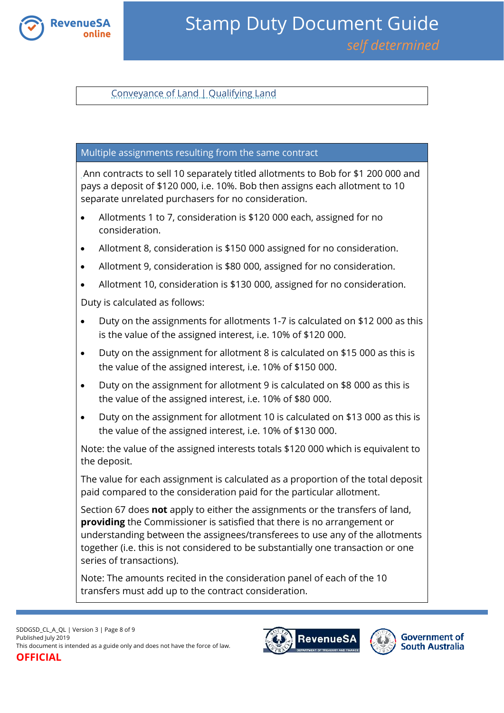

[Conveyance of Land | Qualifying Land](https://www.revenuesa.sa.gov.au/stampduty/stamp-duty-document-guide/self-determined/conveyance-of-land/sddgsd_cl_ql)

#### Multiple assignments resulting from the same contract

Ann contracts to sell 10 separately titled allotments to Bob for \$1 200 000 and pays a deposit of \$120 000, i.e. 10%. Bob then assigns each allotment to 10 separate unrelated purchasers for no consideration.

- Allotments 1 to 7, consideration is \$120 000 each, assigned for no consideration.
- Allotment 8, consideration is \$150 000 assigned for no consideration.
- Allotment 9, consideration is \$80 000, assigned for no consideration.
- Allotment 10, consideration is \$130 000, assigned for no consideration.

Duty is calculated as follows:

- Duty on the assignments for allotments 1-7 is calculated on \$12 000 as this is the value of the assigned interest, i.e. 10% of \$120 000.
- Duty on the assignment for allotment 8 is calculated on \$15 000 as this is the value of the assigned interest, i.e. 10% of \$150 000.
- Duty on the assignment for allotment 9 is calculated on \$8 000 as this is the value of the assigned interest, i.e. 10% of \$80 000.
- Duty on the assignment for allotment 10 is calculated on \$13 000 as this is the value of the assigned interest, i.e. 10% of \$130 000.

Note: the value of the assigned interests totals \$120 000 which is equivalent to the deposit.

The value for each assignment is calculated as a proportion of the total deposit paid compared to the consideration paid for the particular allotment.

Section 67 does **not** apply to either the assignments or the transfers of land, **providing** the Commissioner is satisfied that there is no arrangement or understanding between the assignees/transferees to use any of the allotments together (i.e. this is not considered to be substantially one transaction or one series of transactions).

Note: The amounts recited in the consideration panel of each of the 10 transfers must add up to the contract consideration.